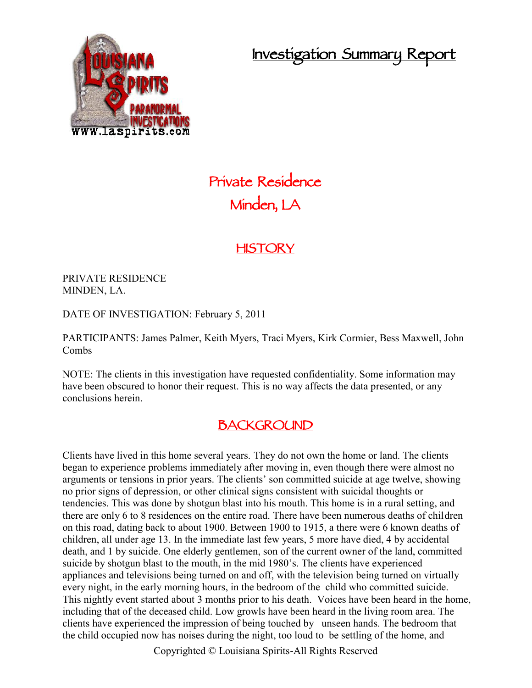**Investigation Summary Report**



# **Private Residence Minden, LA**

## **HISTORY**

PRIVATE RESIDENCE MINDEN, LA.

DATE OF INVESTIGATION: February 5, 2011

PARTICIPANTS: James Palmer, Keith Myers, Traci Myers, Kirk Cormier, Bess Maxwell, John Combs

NOTE: The clients in this investigation have requested confidentiality. Some information may have been obscured to honor their request. This is no way affects the data presented, or any conclusions herein.

### **BACKGROUND**

Clients have lived in this home several years. They do not own the home or land. The clients began to experience problems immediately after moving in, even though there were almost no arguments or tensions in prior years. The clients' son committed suicide at age twelve, showing no prior signs of depression, or other clinical signs consistent with suicidal thoughts or tendencies. This was done by shotgun blast into his mouth. This home is in a rural setting, and there are only 6 to 8 residences on the entire road. There have been numerous deaths of children on this road, dating back to about 1900. Between 1900 to 1915, a there were 6 known deaths of children, all under age 13. In the immediate last few years, 5 more have died, 4 by accidental death, and 1 by suicide. One elderly gentlemen, son of the current owner of the land, committed suicide by shotgun blast to the mouth, in the mid 1980's. The clients have experienced appliances and televisions being turned on and off, with the television being turned on virtually every night, in the early morning hours, in the bedroom of the child who committed suicide. This nightly event started about 3 months prior to his death. Voices have been heard in the home, including that of the deceased child. Low growls have been heard in the living room area. The clients have experienced the impression of being touched by unseen hands. The bedroom that the child occupied now has noises during the night, too loud to be settling of the home, and

Copyrighted © Louisiana Spirits-All Rights Reserved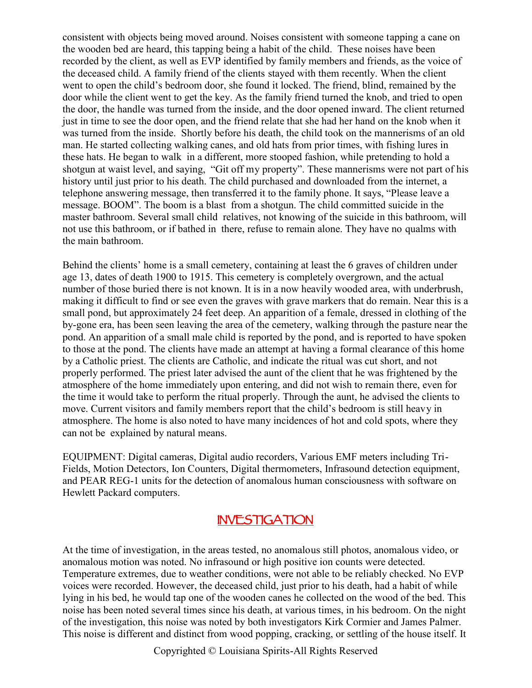consistent with objects being moved around. Noises consistent with someone tapping a cane on the wooden bed are heard, this tapping being a habit of the child. These noises have been recorded by the client, as well as EVP identified by family members and friends, as the voice of the deceased child. A family friend of the clients stayed with them recently. When the client went to open the child's bedroom door, she found it locked. The friend, blind, remained by the door while the client went to get the key. As the family friend turned the knob, and tried to open the door, the handle was turned from the inside, and the door opened inward. The client returned just in time to see the door open, and the friend relate that she had her hand on the knob when it was turned from the inside. Shortly before his death, the child took on the mannerisms of an old man. He started collecting walking canes, and old hats from prior times, with fishing lures in these hats. He began to walk in a different, more stooped fashion, while pretending to hold a shotgun at waist level, and saying, "Git off my property". These mannerisms were not part of his history until just prior to his death. The child purchased and downloaded from the internet, a telephone answering message, then transferred it to the family phone. It says, "Please leave a message. BOOM". The boom is a blast from a shotgun. The child committed suicide in the master bathroom. Several small child relatives, not knowing of the suicide in this bathroom, will not use this bathroom, or if bathed in there, refuse to remain alone. They have no qualms with the main bathroom.

Behind the clients' home is a small cemetery, containing at least the 6 graves of children under age 13, dates of death 1900 to 1915. This cemetery is completely overgrown, and the actual number of those buried there is not known. It is in a now heavily wooded area, with underbrush, making it difficult to find or see even the graves with grave markers that do remain. Near this is a small pond, but approximately 24 feet deep. An apparition of a female, dressed in clothing of the by-gone era, has been seen leaving the area of the cemetery, walking through the pasture near the pond. An apparition of a small male child is reported by the pond, and is reported to have spoken to those at the pond. The clients have made an attempt at having a formal clearance of this home by a Catholic priest. The clients are Catholic, and indicate the ritual was cut short, and not properly performed. The priest later advised the aunt of the client that he was frightened by the atmosphere of the home immediately upon entering, and did not wish to remain there, even for the time it would take to perform the ritual properly. Through the aunt, he advised the clients to move. Current visitors and family members report that the child's bedroom is still heavy in atmosphere. The home is also noted to have many incidences of hot and cold spots, where they can not be explained by natural means.

EQUIPMENT: Digital cameras, Digital audio recorders, Various EMF meters including Tri- Fields, Motion Detectors, Ion Counters, Digital thermometers, Infrasound detection equipment, and PEAR REG-1 units for the detection of anomalous human consciousness with software on Hewlett Packard computers.

### **INVESTIGATION**

At the time of investigation, in the areas tested, no anomalous still photos, anomalous video, or anomalous motion was noted. No infrasound or high positive ion counts were detected. Temperature extremes, due to weather conditions, were not able to be reliably checked. No EVP voices were recorded. However, the deceased child, just prior to his death, had a habit of while lying in his bed, he would tap one of the wooden canes he collected on the wood of the bed. This noise has been noted several times since his death, at various times, in his bedroom. On the night of the investigation, this noise was noted by both investigators Kirk Cormier and James Palmer. This noise is different and distinct from wood popping, cracking, or settling of the house itself. It

Copyrighted © Louisiana Spirits-All Rights Reserved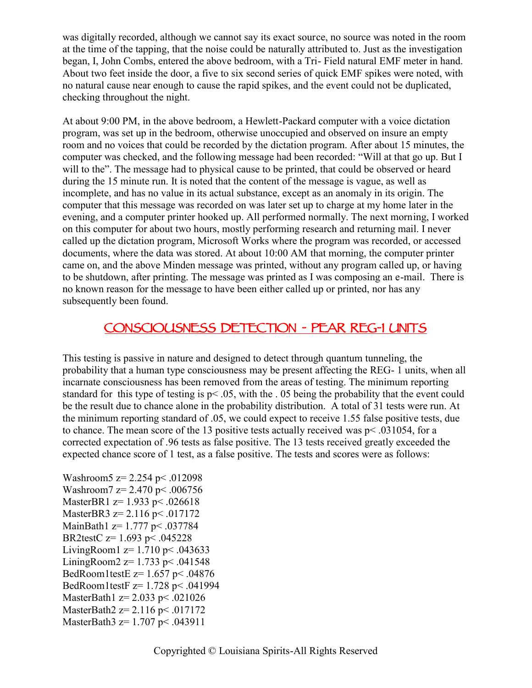was digitally recorded, although we cannot say its exact source, no source was noted in the room at the time of the tapping, that the noise could be naturally attributed to. Just as the investigation began, I, John Combs, entered the above bedroom, with a Tri- Field natural EMF meter in hand. About two feet inside the door, a five to six second series of quick EMF spikes were noted, with no natural cause near enough to cause the rapid spikes, and the event could not be duplicated, checking throughout the night.

At about 9:00 PM, in the above bedroom, a Hewlett-Packard computer with a voice dictation program, was set up in the bedroom, otherwise unoccupied and observed on insure an empty room and no voices that could be recorded by the dictation program. After about 15 minutes, the computer was checked, and the following message had been recorded: "Will at that go up. But I will to the". The message had to physical cause to be printed, that could be observed or heard during the 15 minute run. It is noted that the content of the message is vague, as well as incomplete, and has no value in its actual substance, except as an anomaly in its origin. The computer that this message was recorded on was later set up to charge at my home later in the evening, and a computer printer hooked up. All performed normally. The next morning, I worked on this computer for about two hours, mostly performing research and returning mail. I never called up the dictation program, Microsoft Works where the program was recorded, or accessed documents, where the data was stored. At about 10:00 AM that morning, the computer printer came on, and the above Minden message was printed, without any program called up, or having to be shutdown, after printing. The message was printed as I was composing an e-mail. There is no known reason for the message to have been either called up or printed, nor has any subsequently been found.

# **CONSCIOUSNESS DETECTION - PEAR REG-1 UNITS**

This testing is passive in nature and designed to detect through quantum tunneling, the probability that a human type consciousness may be present affecting the REG- 1 units, when all incarnate consciousness has been removed from the areas of testing. The minimum reporting standard for this type of testing is p< .05, with the . 05 being the probability that the event could be the result due to chance alone in the probability distribution. A total of 31 tests were run. At the minimum reporting standard of .05, we could expect to receive 1.55 false positive tests, due to chance. The mean score of the 13 positive tests actually received was p< .031054, for a corrected expectation of .96 tests as false positive. The 13 tests received greatly exceeded the expected chance score of 1 test, as a false positive. The tests and scores were as follows:

Washroom5  $z = 2.254$  p $\leq$  012098 Washroom7  $z = 2.470$  p  $\leq 0.006756$ MasterBR1 z= 1.933 p< .026618 MasterBR3  $z=$  2.116 p < .017172 MainBath1  $z=1.777$  p< .037784 BR2testC z= 1.693 p< .045228 LivingRoom1  $z = 1.710$  p  $\leq$  043633 LiningRoom2  $z=1.733$  p< .041548 BedRoom1testE z= 1.657 p< .04876 BedRoom1testF z= 1.728 p< .041994 MasterBath1 z= 2.033 p< .021026 MasterBath2  $z=$  2.116 p < .017172 MasterBath3 z= 1.707 p < .043911